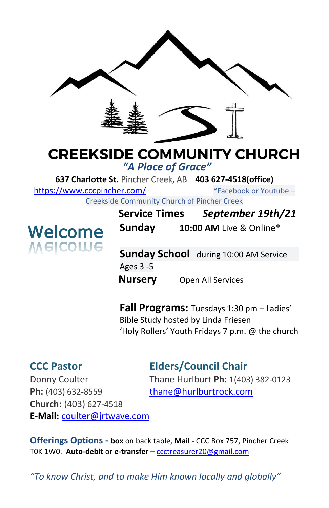

# **CREEKSIDE COMMUNITY CHURCH**

*"A Place of Grace"*

**637 Charlotte St.** Pincher Creek, AB **403 627-4518(office)** 

<https://www.cccpincher.com/>\*Facebook or Youtube –

Creekside Community Church of Pincher Creek



**Service Times** *September 19th/21* **Sunday 10:00 AM** Live & Online\*

**Sunday School** during 10:00 AM Service Ages 3 -5 **Nursery** Open All Services

**Fall Programs:** Tuesdays 1:30 pm – Ladies' Bible Study hosted by Linda Friesen 'Holy Rollers' Youth Fridays 7 p.m. @ the church

### **CCC Pastor Elders/Council Chair**

Ph: (403) 632-8559 [thane@hurlburtrock.com](mailto:thane@hurlburtrock.com) **Church:** (403) 627-4518 **E-Mail:** [coulter@jrtwave.com](mailto:coulter@jrtwave.com)

Donny Coulter Thane Hurlburt **Ph:** 1(403) 382-0123

**Offerings Options - box** on back table, **Mail** - CCC Box 757, Pincher Creek T0K 1W0. **Auto-debit** or **e-transfer** – [ccctreasurer20@gmail.com](mailto:ccctreasurer20@gmail.com)

*"To know Christ, and to make Him known locally and globally"*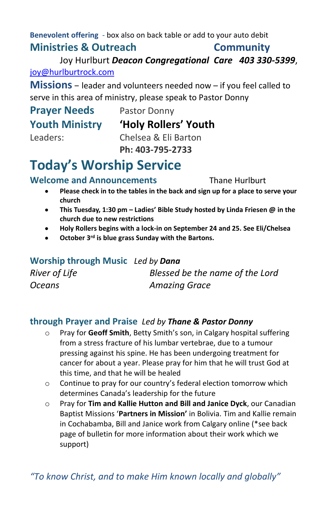**Benevolent offering** - box also on back table or add to your auto debit **Ministries & Outreach Community**

Joy Hurlburt *Deacon Congregational Care 403 330-5399*, [joy@hurlburtrock.com](mailto:joy@hurlburtrock.com)

**Missions** – leader and volunteers needed now – if you feel called to serve in this area of ministry, please speak to Pastor Donny

# **Prayer Needs** Pastor Donny

### **Youth Ministry 'Holy Rollers' Youth**

Leaders: Chelsea & Eli Barton **Ph: 403-795-2733**

## **Today's Worship Service**

#### **Welcome and Announcements** Thane Hurlburt

- **Please check in to the tables in the back and sign up for a place to serve your church**
- **This Tuesday, 1:30 pm – Ladies' Bible Study hosted by Linda Friesen @ in the church due to new restrictions**
- **Holy Rollers begins with a lock-in on September 24 and 25. See Eli/Chelsea**
- **October 3rd is blue grass Sunday with the Bartons.**

| Worship through Music Led by Dana |                                 |
|-----------------------------------|---------------------------------|
| River of Life                     | Blessed be the name of the Lord |
| <b>Oceans</b>                     | <b>Amazing Grace</b>            |

#### **through Prayer and Praise** *Led by Thane & Pastor Donny*

- o Pray for **Geoff Smith**, Betty Smith's son, in Calgary hospital suffering from a stress fracture of his lumbar vertebrae, due to a tumour pressing against his spine. He has been undergoing treatment for cancer for about a year. Please pray for him that he will trust God at this time, and that he will be healed
- o Continue to pray for our country's federal election tomorrow which determines Canada's leadership for the future
- o Pray for **Tim and Kallie Hutton and Bill and Janice Dyck**, our Canadian Baptist Missions '**Partners in Mission'** in Bolivia. Tim and Kallie remain in Cochabamba, Bill and Janice work from Calgary online (\*see back page of bulletin for more information about their work which we support)

*"To know Christ, and to make Him known locally and globally"*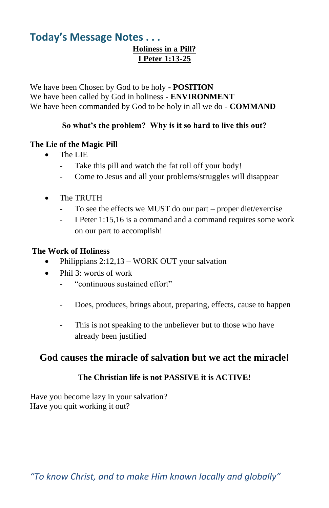#### **Today's Message Notes . . . Holiness in a Pill? I Peter 1:13-25**

We have been Chosen by God to be holy **- POSITION** We have been called by God in holiness **- ENVIRONMENT** We have been commanded by God to be holy in all we do - **COMMAND**

#### **So what's the problem? Why is it so hard to live this out?**

#### **The Lie of the Magic Pill**

- The LIE
	- Take this pill and watch the fat roll off your body!
	- Come to Jesus and all your problems/struggles will disappear
- The TRUTH
	- To see the effects we MUST do our part proper diet/exercise
	- I Peter 1:15,16 is a command and a command requires some work on our part to accomplish!

#### **The Work of Holiness**

- Philippians 2:12,13 WORK OUT your salvation
- Phil 3: words of work
	- "continuous sustained effort"
	- Does, produces, brings about, preparing, effects, cause to happen
	- This is not speaking to the unbeliever but to those who have already been justified

#### **God causes the miracle of salvation but we act the miracle!**

#### **The Christian life is not PASSIVE it is ACTIVE!**

Have you become lazy in your salvation? Have you quit working it out?

*"To know Christ, and to make Him known locally and globally"*